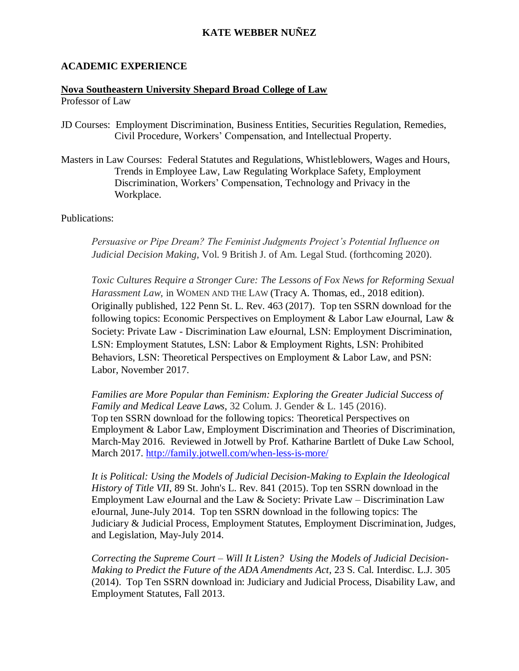## **KATE WEBBER NUÑEZ**

#### **ACADEMIC EXPERIENCE**

#### **Nova Southeastern University Shepard Broad College of Law**

Professor of Law

- JD Courses: Employment Discrimination, Business Entities, Securities Regulation, Remedies, Civil Procedure, Workers' Compensation, and Intellectual Property.
- Masters in Law Courses: Federal Statutes and Regulations, Whistleblowers, Wages and Hours, Trends in Employee Law, Law Regulating Workplace Safety, Employment Discrimination, Workers' Compensation, Technology and Privacy in the Workplace.

Publications:

*Persuasive or Pipe Dream? The Feminist Judgments Project's Potential Influence on Judicial Decision Making*, Vol. 9 British J. of Am. Legal Stud. (forthcoming 2020).

*Toxic Cultures Require a Stronger Cure: The Lessons of Fox News for Reforming Sexual Harassment Law*, in WOMEN AND THE LAW (Tracy A. Thomas, ed., 2018 edition). Originally published, 122 Penn St. L. Rev. 463 (2017). Top ten SSRN download for the following topics: Economic Perspectives on Employment & Labor Law eJournal, Law  $\&$ Society: Private Law - Discrimination Law eJournal, LSN: Employment Discrimination, LSN: Employment Statutes, LSN: Labor & Employment Rights, LSN: Prohibited Behaviors, LSN: Theoretical Perspectives on Employment & Labor Law, and PSN: Labor, November 2017.

*Families are More Popular than Feminism: Exploring the Greater Judicial Success of Family and Medical Leave Laws*, 32 Colum. J. Gender & L. 145 (2016). Top ten SSRN download for the following topics: Theoretical Perspectives on Employment & Labor Law, Employment Discrimination and Theories of Discrimination, March-May 2016. Reviewed in Jotwell by Prof. Katharine Bartlett of Duke Law School, March 2017. <http://family.jotwell.com/when-less-is-more/>

*It is Political: Using the Models of Judicial Decision-Making to Explain the Ideological History of Title VII*, 89 St. John's L. Rev. 841 (2015). Top ten SSRN download in the Employment Law eJournal and the Law  $&$  Society: Private Law – Discrimination Law eJournal, June-July 2014. Top ten SSRN download in the following topics: The Judiciary & Judicial Process, Employment Statutes, Employment Discrimination, Judges, and Legislation, May-July 2014.

*Correcting the Supreme Court – Will It Listen? Using the Models of Judicial Decision-Making to Predict the Future of the ADA Amendments Act*, 23 S. Cal. Interdisc. L.J. 305 (2014). Top Ten SSRN download in: Judiciary and Judicial Process, Disability Law, and Employment Statutes, Fall 2013.